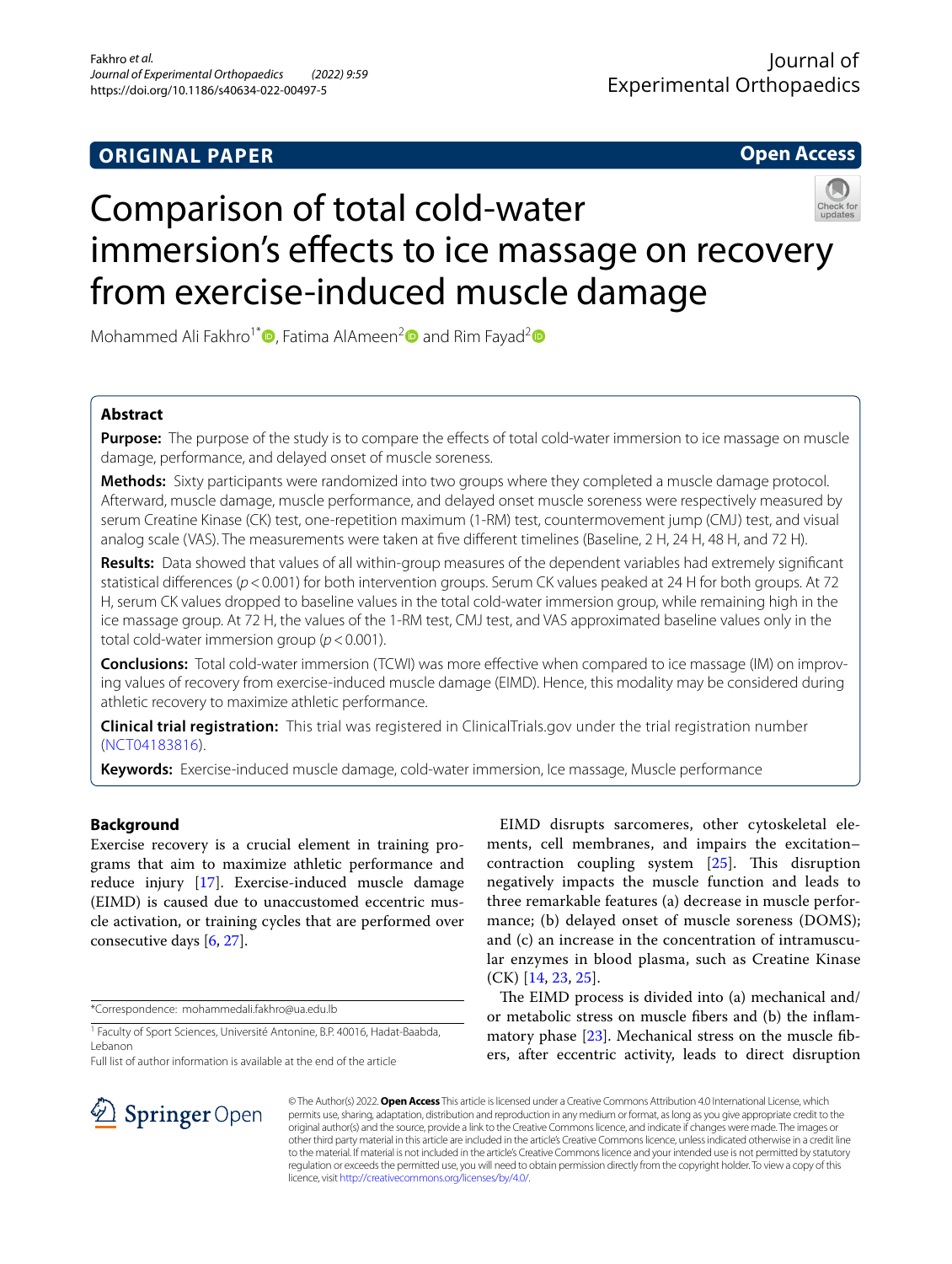## **ORIGINAL PAPER**

**Open Access**

# Comparison of total cold-water immersion's effects to ice massage on recovery from exercise-induced muscle damage

Mohammed Ali Fakhro<sup>1[\\*](http://orcid.org/0000-0001-7324-6253)</sup>  $\bullet$ , Fatima AlAmeen<sup>2</sup> and Rim Fayad<sup>2</sup>  $\bullet$ 

## **Abstract**

**Purpose:** The purpose of the study is to compare the effects of total cold-water immersion to ice massage on muscle damage, performance, and delayed onset of muscle soreness.

**Methods:** Sixty participants were randomized into two groups where they completed a muscle damage protocol. Afterward, muscle damage, muscle performance, and delayed onset muscle soreness were respectively measured by serum Creatine Kinase (CK) test, one-repetition maximum (1-RM) test, countermovement jump (CMJ) test, and visual analog scale (VAS). The measurements were taken at fve diferent timelines (Baseline, 2 H, 24 H, 48 H, and 72 H).

**Results:** Data showed that values of all within-group measures of the dependent variables had extremely signifcant statistical differences ( $p$ <0.001) for both intervention groups. Serum CK values peaked at 24 H for both groups. At 72 H, serum CK values dropped to baseline values in the total cold-water immersion group, while remaining high in the ice massage group. At 72 H, the values of the 1-RM test, CMJ test, and VAS approximated baseline values only in the total cold-water immersion group (*p*<0.001).

**Conclusions:** Total cold-water immersion (TCWI) was more effective when compared to ice massage (IM) on improving values of recovery from exercise-induced muscle damage (EIMD). Hence, this modality may be considered during athletic recovery to maximize athletic performance.

**Clinical trial registration:** This trial was registered in ClinicalTrials.gov under the trial registration number ([NCT04183816](https://clinicaltrials.gov/ct2/show/NCT04183816)).

**Keywords:** Exercise-induced muscle damage, cold-water immersion, Ice massage, Muscle performance

## **Background**

Exercise recovery is a crucial element in training programs that aim to maximize athletic performance and reduce injury [[17\]](#page-6-0). Exercise-induced muscle damage (EIMD) is caused due to unaccustomed eccentric muscle activation, or training cycles that are performed over consecutive days [[6](#page-6-1), [27\]](#page-7-0).

\*Correspondence: mohammedali.fakhro@ua.edu.lb

Full list of author information is available at the end of the article

EIMD disrupts sarcomeres, other cytoskeletal elements, cell membranes, and impairs the excitation– contraction coupling system  $[25]$  $[25]$ . This disruption negatively impacts the muscle function and leads to three remarkable features (a) decrease in muscle performance; (b) delayed onset of muscle soreness (DOMS); and (c) an increase in the concentration of intramuscular enzymes in blood plasma, such as Creatine Kinase (CK) [[14,](#page-6-2) [23,](#page-7-2) [25](#page-7-1)].

The EIMD process is divided into (a) mechanical and/ or metabolic stress on muscle fbers and (b) the infammatory phase [\[23](#page-7-2)]. Mechanical stress on the muscle fbers, after eccentric activity, leads to direct disruption



© The Author(s) 2022. **Open Access** This article is licensed under a Creative Commons Attribution 4.0 International License, which permits use, sharing, adaptation, distribution and reproduction in any medium or format, as long as you give appropriate credit to the original author(s) and the source, provide a link to the Creative Commons licence, and indicate if changes were made. The images or other third party material in this article are included in the article's Creative Commons licence, unless indicated otherwise in a credit line to the material. If material is not included in the article's Creative Commons licence and your intended use is not permitted by statutory regulation or exceeds the permitted use, you will need to obtain permission directly from the copyright holder. To view a copy of this licence, visit [http://creativecommons.org/licenses/by/4.0/.](http://creativecommons.org/licenses/by/4.0/)

<sup>&</sup>lt;sup>1</sup> Faculty of Sport Sciences, Université Antonine, B.P. 40016, Hadat-Baabda, Lebanon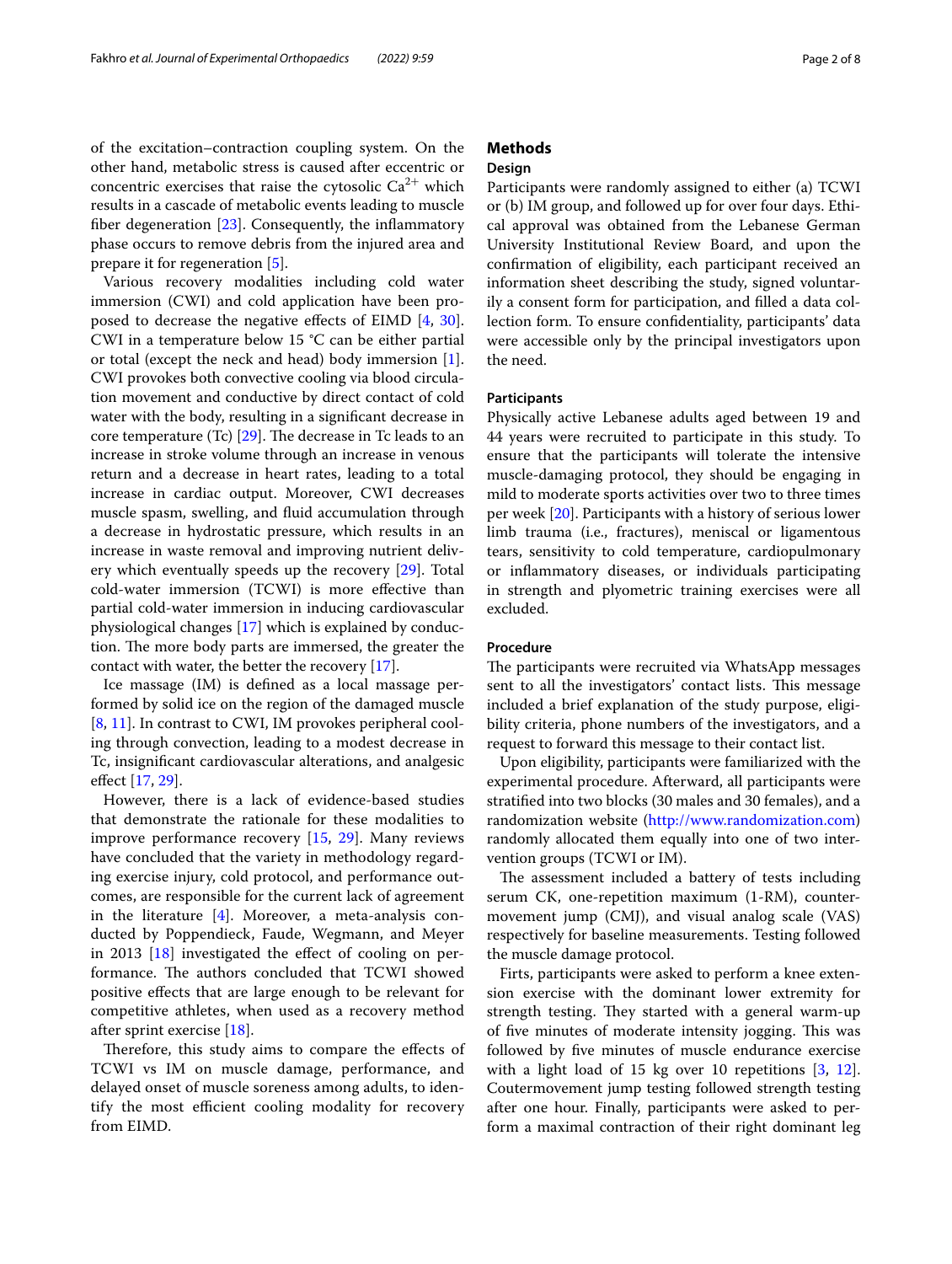of the excitation–contraction coupling system. On the other hand, metabolic stress is caused after eccentric or concentric exercises that raise the cytosolic  $Ca^{2+}$  which results in a cascade of metabolic events leading to muscle fiber degeneration  $[23]$  $[23]$ . Consequently, the inflammatory phase occurs to remove debris from the injured area and prepare it for regeneration [\[5\]](#page-6-3).

Various recovery modalities including cold water immersion (CWI) and cold application have been proposed to decrease the negative efects of EIMD [\[4](#page-6-4), [30](#page-7-3)]. CWI in a temperature below 15 °C can be either partial or total (except the neck and head) body immersion [\[1](#page-6-5)]. CWI provokes both convective cooling via blood circulation movement and conductive by direct contact of cold water with the body, resulting in a signifcant decrease in core temperature (Tc)  $[29]$  $[29]$ . The decrease in Tc leads to an increase in stroke volume through an increase in venous return and a decrease in heart rates, leading to a total increase in cardiac output. Moreover, CWI decreases muscle spasm, swelling, and fuid accumulation through a decrease in hydrostatic pressure, which results in an increase in waste removal and improving nutrient delivery which eventually speeds up the recovery [[29\]](#page-7-4). Total cold-water immersion (TCWI) is more efective than partial cold-water immersion in inducing cardiovascular physiological changes [\[17\]](#page-6-0) which is explained by conduction. The more body parts are immersed, the greater the contact with water, the better the recovery [[17\]](#page-6-0).

Ice massage (IM) is defned as a local massage performed by solid ice on the region of the damaged muscle [[8,](#page-6-6) [11](#page-6-7)]. In contrast to CWI, IM provokes peripheral cooling through convection, leading to a modest decrease in Tc, insignifcant cardiovascular alterations, and analgesic efect [[17](#page-6-0), [29\]](#page-7-4).

However, there is a lack of evidence-based studies that demonstrate the rationale for these modalities to improve performance recovery [\[15](#page-6-8), [29\]](#page-7-4). Many reviews have concluded that the variety in methodology regarding exercise injury, cold protocol, and performance outcomes, are responsible for the current lack of agreement in the literature  $[4]$  $[4]$ . Moreover, a meta-analysis conducted by Poppendieck, Faude, Wegmann, and Meyer in 2013 [\[18](#page-6-9)] investigated the effect of cooling on performance. The authors concluded that TCWI showed positive efects that are large enough to be relevant for competitive athletes, when used as a recovery method after sprint exercise [[18\]](#page-6-9).

Therefore, this study aims to compare the effects of TCWI vs IM on muscle damage, performance, and delayed onset of muscle soreness among adults, to identify the most efficient cooling modality for recovery from EIMD.

## **Methods**

## **Design**

Participants were randomly assigned to either (a) TCWI or (b) IM group, and followed up for over four days. Ethical approval was obtained from the Lebanese German University Institutional Review Board, and upon the confrmation of eligibility, each participant received an information sheet describing the study, signed voluntarily a consent form for participation, and flled a data collection form. To ensure confdentiality, participants' data were accessible only by the principal investigators upon the need.

## **Participants**

Physically active Lebanese adults aged between 19 and 44 years were recruited to participate in this study. To ensure that the participants will tolerate the intensive muscle-damaging protocol, they should be engaging in mild to moderate sports activities over two to three times per week [[20\]](#page-7-5). Participants with a history of serious lower limb trauma (i.e., fractures), meniscal or ligamentous tears, sensitivity to cold temperature, cardiopulmonary or infammatory diseases, or individuals participating in strength and plyometric training exercises were all excluded.

## **Procedure**

The participants were recruited via WhatsApp messages sent to all the investigators' contact lists. This message included a brief explanation of the study purpose, eligibility criteria, phone numbers of the investigators, and a request to forward this message to their contact list.

Upon eligibility, participants were familiarized with the experimental procedure. Afterward, all participants were stratifed into two blocks (30 males and 30 females), and a randomization website (<http://www.randomization.com>) randomly allocated them equally into one of two intervention groups (TCWI or IM).

The assessment included a battery of tests including serum CK, one-repetition maximum (1-RM), countermovement jump (CMJ), and visual analog scale (VAS) respectively for baseline measurements. Testing followed the muscle damage protocol.

Firts, participants were asked to perform a knee extension exercise with the dominant lower extremity for strength testing. They started with a general warm-up of five minutes of moderate intensity jogging. This was followed by fve minutes of muscle endurance exercise with a light load of 15 kg over 10 repetitions [[3,](#page-6-10) [12](#page-6-11)]. Coutermovement jump testing followed strength testing after one hour. Finally, participants were asked to perform a maximal contraction of their right dominant leg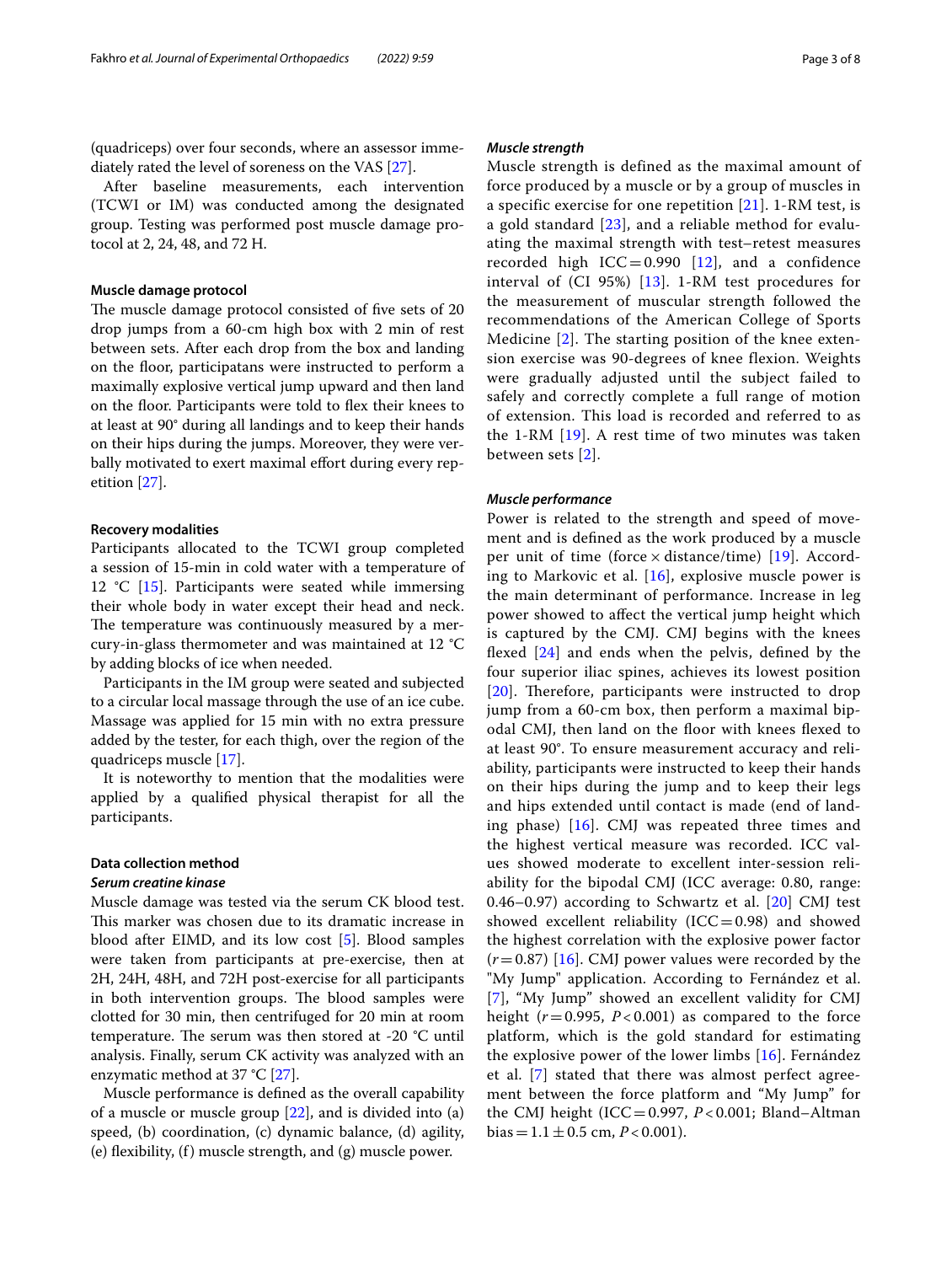(quadriceps) over four seconds, where an assessor immediately rated the level of soreness on the VAS [\[27](#page-7-0)].

After baseline measurements, each intervention (TCWI or IM) was conducted among the designated group. Testing was performed post muscle damage protocol at 2, 24, 48, and 72 H.

## **Muscle damage protocol**

The muscle damage protocol consisted of five sets of 20 drop jumps from a 60-cm high box with 2 min of rest between sets. After each drop from the box and landing on the foor, participatans were instructed to perform a maximally explosive vertical jump upward and then land on the foor. Participants were told to fex their knees to at least at 90° during all landings and to keep their hands on their hips during the jumps. Moreover, they were verbally motivated to exert maximal effort during every repetition [\[27\]](#page-7-0).

## **Recovery modalities**

Participants allocated to the TCWI group completed a session of 15-min in cold water with a temperature of 12  $°C$  [\[15](#page-6-8)]. Participants were seated while immersing their whole body in water except their head and neck. The temperature was continuously measured by a mercury-in-glass thermometer and was maintained at 12 °C by adding blocks of ice when needed.

Participants in the IM group were seated and subjected to a circular local massage through the use of an ice cube. Massage was applied for 15 min with no extra pressure added by the tester, for each thigh, over the region of the quadriceps muscle [\[17\]](#page-6-0).

It is noteworthy to mention that the modalities were applied by a qualifed physical therapist for all the participants.

#### **Data collection method**

## *Serum creatine kinase*

Muscle damage was tested via the serum CK blood test. This marker was chosen due to its dramatic increase in blood after EIMD, and its low cost [\[5\]](#page-6-3). Blood samples were taken from participants at pre-exercise, then at 2H, 24H, 48H, and 72H post-exercise for all participants in both intervention groups. The blood samples were clotted for 30 min, then centrifuged for 20 min at room temperature. The serum was then stored at -20  $^{\circ}$ C until analysis. Finally, serum CK activity was analyzed with an enzymatic method at 37 °C [\[27](#page-7-0)].

Muscle performance is defned as the overall capability of a muscle or muscle group [\[22\]](#page-7-6), and is divided into (a) speed, (b) coordination, (c) dynamic balance, (d) agility, (e) flexibility,  $(f)$  muscle strength, and  $(g)$  muscle power.

## *Muscle strength*

Muscle strength is defined as the maximal amount of force produced by a muscle or by a group of muscles in a specific exercise for one repetition  $[21]$ . 1-RM test, is a gold standard [[23\]](#page-7-2), and a reliable method for evaluating the maximal strength with test–retest measures recorded high  $ICC = 0.990$  [[12](#page-6-11)], and a confidence interval of (CI 95%) [\[13\]](#page-6-12). 1-RM test procedures for the measurement of muscular strength followed the recommendations of the American College of Sports Medicine [\[2\]](#page-6-13). The starting position of the knee extension exercise was 90-degrees of knee flexion. Weights were gradually adjusted until the subject failed to safely and correctly complete a full range of motion of extension. This load is recorded and referred to as the 1-RM [[19\]](#page-6-14). A rest time of two minutes was taken between sets [[2](#page-6-13)].

## *Muscle performance*

Power is related to the strength and speed of movement and is defned as the work produced by a muscle per unit of time (force  $\times$  distance/time) [\[19](#page-6-14)]. According to Markovic et al.  $[16]$ , explosive muscle power is the main determinant of performance. Increase in leg power showed to afect the vertical jump height which is captured by the CMJ. CMJ begins with the knees fexed [\[24\]](#page-7-8) and ends when the pelvis, defned by the four superior iliac spines, achieves its lowest position  $[20]$  $[20]$  $[20]$ . Therefore, participants were instructed to drop jump from a 60-cm box, then perform a maximal bipodal CMJ, then land on the floor with knees flexed to at least 90°. To ensure measurement accuracy and reliability, participants were instructed to keep their hands on their hips during the jump and to keep their legs and hips extended until contact is made (end of landing phase) [\[16](#page-6-15)]. CMJ was repeated three times and the highest vertical measure was recorded. ICC values showed moderate to excellent inter-session reliability for the bipodal CMJ (ICC average: 0.80, range: 0.46–0.97) according to Schwartz et al.  $[20]$  $[20]$  CMJ test showed excellent reliability (ICC=0.98) and showed the highest correlation with the explosive power factor (*r*=0.87) [[16\]](#page-6-15). CMJ power values were recorded by the "My Jump" application. According to Fernández et al. [[7](#page-6-16)], "My Jump" showed an excellent validity for CMJ height  $(r=0.995, P<0.001)$  as compared to the force platform, which is the gold standard for estimating the explosive power of the lower limbs [[16](#page-6-15)]. Fernández et al. [[7\]](#page-6-16) stated that there was almost perfect agreement between the force platform and "My Jump" for the CMJ height (ICC=0.997, *P* < 0.001; Bland–Altman bias =  $1.1 \pm 0.5$  cm,  $P < 0.001$ ).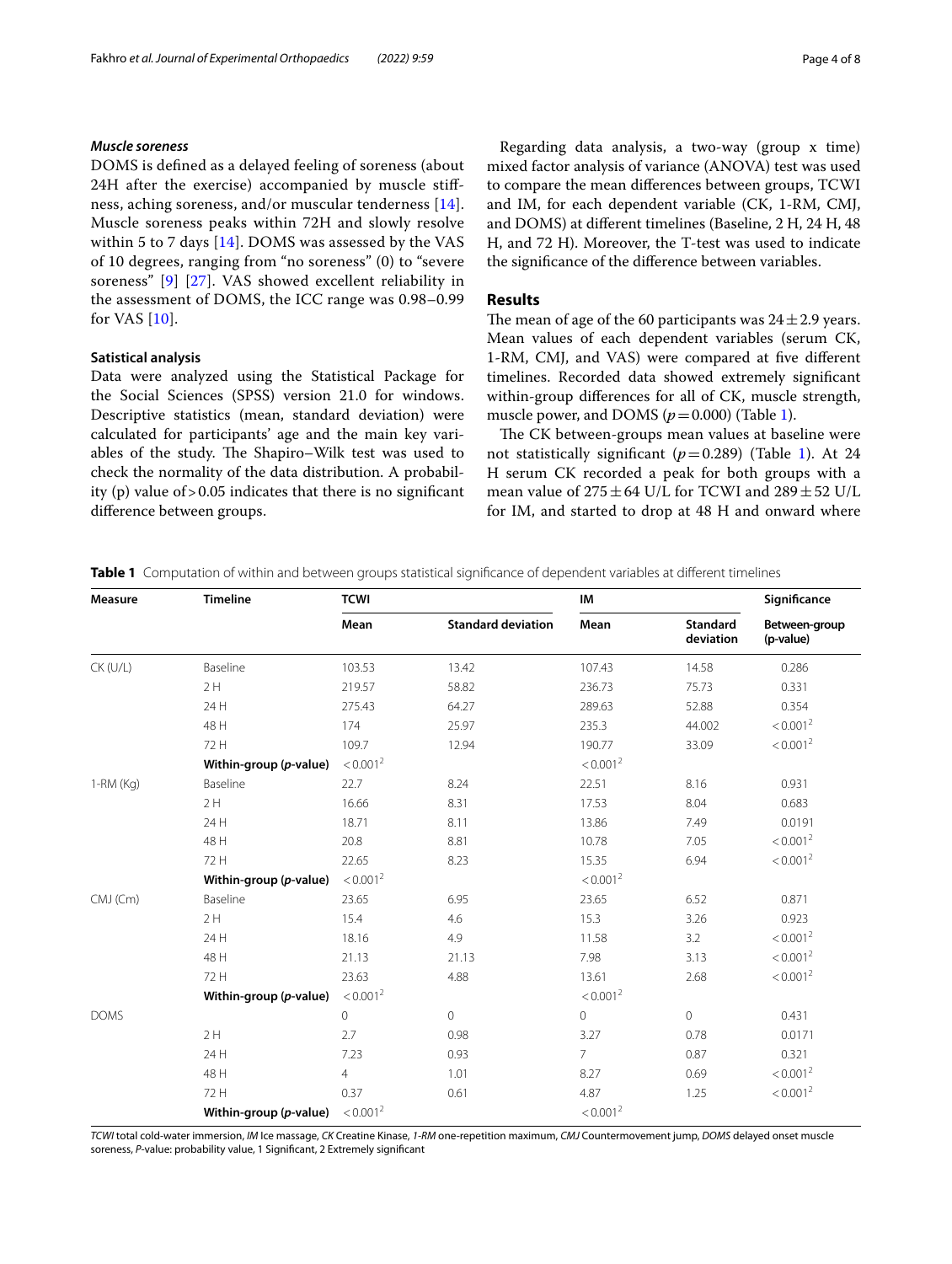## *Muscle soreness*

DOMS is defned as a delayed feeling of soreness (about 24H after the exercise) accompanied by muscle stifness, aching soreness, and/or muscular tenderness [[14\]](#page-6-2). Muscle soreness peaks within 72H and slowly resolve within 5 to 7 days [[14\]](#page-6-2). DOMS was assessed by the VAS of 10 degrees, ranging from "no soreness" (0) to "severe soreness" [[9\]](#page-6-17) [\[27](#page-7-0)]. VAS showed excellent reliability in the assessment of DOMS, the ICC range was 0.98–0.99 for VAS [[10\]](#page-6-18).

## **Satistical analysis**

Data were analyzed using the Statistical Package for the Social Sciences (SPSS) version 21.0 for windows. Descriptive statistics (mean, standard deviation) were calculated for participants' age and the main key variables of the study. The Shapiro–Wilk test was used to check the normality of the data distribution. A probability (p) value of  $> 0.05$  indicates that there is no significant diference between groups.

Regarding data analysis, a two-way (group x time) mixed factor analysis of variance (ANOVA) test was used to compare the mean diferences between groups, TCWI and IM, for each dependent variable (CK, 1-RM, CMJ, and DOMS) at diferent timelines (Baseline, 2 H, 24 H, 48 H, and 72 H). Moreover, the T-test was used to indicate the signifcance of the diference between variables.

## **Results**

The mean of age of the 60 participants was  $24 \pm 2.9$  years. Mean values of each dependent variables (serum CK, 1-RM, CMJ, and VAS) were compared at fve diferent timelines. Recorded data showed extremely signifcant within-group diferences for all of CK, muscle strength, muscle power, and DOMS  $(p=0.000)$  (Table [1](#page-3-0)).

The CK between-groups mean values at baseline were not statistically significant  $(p=0.289)$  (Table [1](#page-3-0)). At 24 H serum CK recorded a peak for both groups with a mean value of  $275 \pm 64$  U/L for TCWI and  $289 \pm 52$  U/L for IM, and started to drop at 48 H and onward where

<span id="page-3-0"></span>**Table 1** Computation of within and between groups statistical signifcance of dependent variables at diferent timelines

| <b>Measure</b> | <b>Timeline</b>        | <b>TCWI</b>          |                           | IM                   |                              | Significance               |
|----------------|------------------------|----------------------|---------------------------|----------------------|------------------------------|----------------------------|
|                |                        | Mean                 | <b>Standard deviation</b> | Mean                 | <b>Standard</b><br>deviation | Between-group<br>(p-value) |
| $CK$ (U/L)     | Baseline               | 103.53               | 13.42                     | 107.43               | 14.58                        | 0.286                      |
|                | 2H                     | 219.57               | 58.82                     | 236.73               | 75.73                        | 0.331                      |
|                | 24 H                   | 275.43               | 64.27                     | 289.63               | 52.88                        | 0.354                      |
|                | 48 H                   | 174                  | 25.97                     | 235.3                | 44.002                       | < 0.001 <sup>2</sup>       |
|                | 72 H                   | 109.7                | 12.94                     | 190.77               | 33.09                        | < 0.001 <sup>2</sup>       |
|                | Within-group (p-value) | < 0.001 <sup>2</sup> |                           | < 0.001 <sup>2</sup> |                              |                            |
| $1 - RM (Kq)$  | Baseline               | 22.7                 | 8.24                      | 22.51                | 8.16                         | 0.931                      |
|                | 2H                     | 16.66                | 8.31                      | 17.53                | 8.04                         | 0.683                      |
|                | 24 H                   | 18.71                | 8.11                      | 13.86                | 7.49                         | 0.0191                     |
|                | 48 H                   | 20.8                 | 8.81                      | 10.78                | 7.05                         | < 0.001 <sup>2</sup>       |
|                | 72 H                   | 22.65                | 8.23                      | 15.35                | 6.94                         | < 0.001 <sup>2</sup>       |
|                | Within-group (p-value) | < 0.001 <sup>2</sup> |                           | < 0.001 <sup>2</sup> |                              |                            |
| CMJ (Cm)       | Baseline               | 23.65                | 6.95                      | 23.65                | 6.52                         | 0.871                      |
|                | 2H                     | 15.4                 | 4.6                       | 15.3                 | 3.26                         | 0.923                      |
|                | 24 H                   | 18.16                | 4.9                       | 11.58                | 3.2                          | < 0.001 <sup>2</sup>       |
|                | 48 H                   | 21.13                | 21.13                     | 7.98                 | 3.13                         | < 0.001 <sup>2</sup>       |
|                | 72 H                   | 23.63                | 4.88                      | 13.61                | 2.68                         | < 0.001 <sup>2</sup>       |
|                | Within-group (p-value) | < 0.001 <sup>2</sup> |                           | < 0.001 <sup>2</sup> |                              |                            |
| <b>DOMS</b>    |                        | $\circ$              | $\circ$                   | $\circ$              | $\circ$                      | 0.431                      |
|                | 2H                     | 2.7                  | 0.98                      | 3.27                 | 0.78                         | 0.0171                     |
|                | 24 H                   | 7.23                 | 0.93                      | $\overline{7}$       | 0.87                         | 0.321                      |
|                | 48 H                   | $\overline{4}$       | 1.01                      | 8.27                 | 0.69                         | < 0.001 <sup>2</sup>       |
|                | 72 H                   | 0.37                 | 0.61                      | 4.87                 | 1.25                         | < 0.001 <sup>2</sup>       |
|                | Within-group (p-value) | < 0.001 <sup>2</sup> |                           | < 0.001 <sup>2</sup> |                              |                            |

*TCWI* total cold-water immersion, *IM* Ice massage, *CK* Creatine Kinase, *1-RM* one-repetition maximum, *CMJ* Countermovement jump, *DOMS* delayed onset muscle soreness, *P*-value: probability value, 1 Signifcant, 2 Extremely signifcant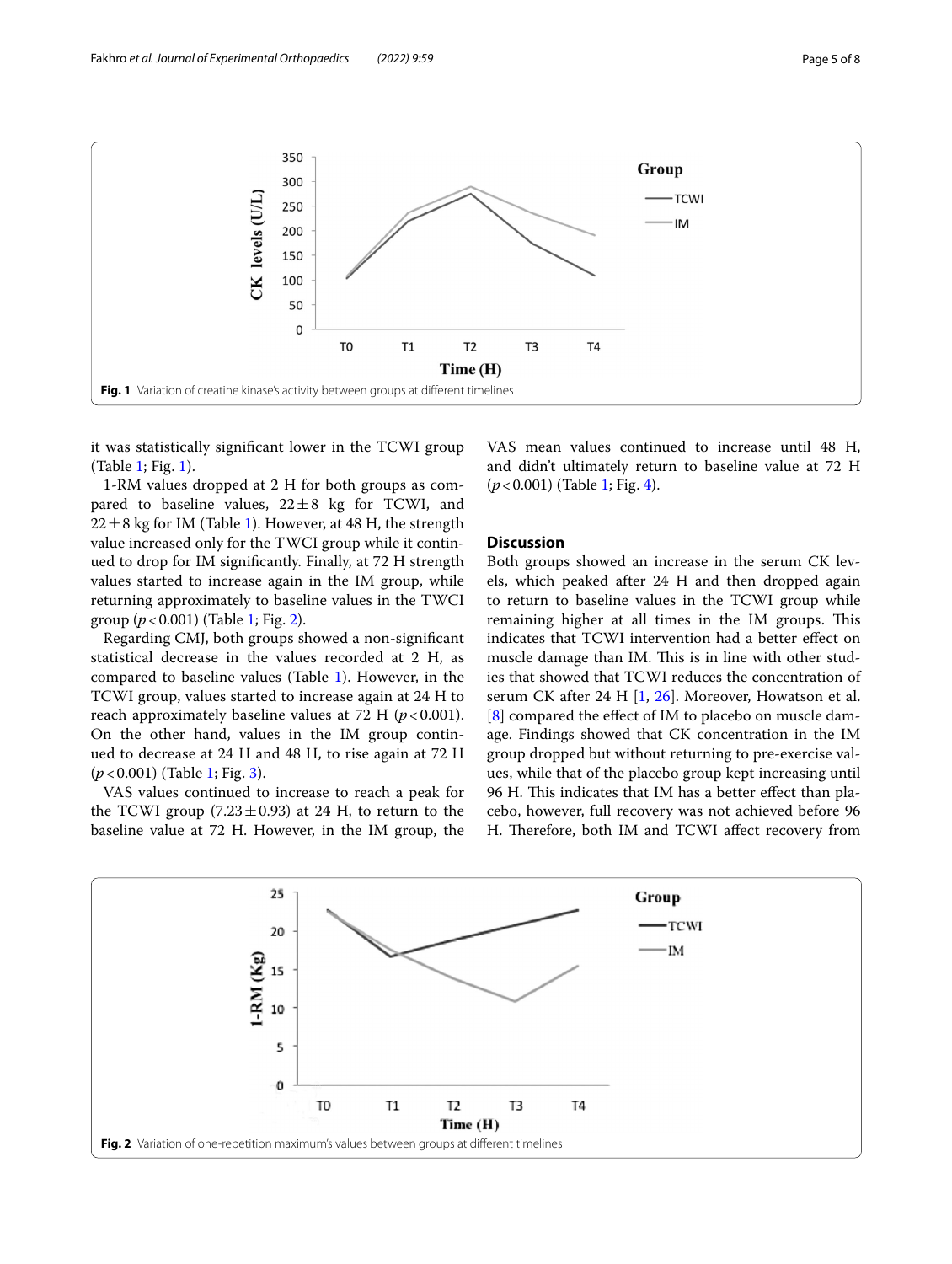

<span id="page-4-0"></span>it was statistically signifcant lower in the TCWI group (Table [1;](#page-3-0) Fig. [1\)](#page-4-0).

1-RM values dropped at 2 H for both groups as compared to baseline values,  $22 \pm 8$  kg for TCWI, and  $22 \pm 8$  kg for IM (Table [1\)](#page-3-0). However, at 48 H, the strength value increased only for the TWCI group while it continued to drop for IM signifcantly. Finally, at 72 H strength values started to increase again in the IM group, while returning approximately to baseline values in the TWCI group (*p*<0.001) (Table [1;](#page-3-0) Fig. [2](#page-4-1)).

Regarding CMJ, both groups showed a non-signifcant statistical decrease in the values recorded at 2 H, as compared to baseline values (Table [1](#page-3-0)). However, in the TCWI group, values started to increase again at 24 H to reach approximately baseline values at 72 H  $(p<0.001)$ . On the other hand, values in the IM group continued to decrease at 24 H and 48 H, to rise again at 72 H (*p*<0.001) (Table [1](#page-3-0); Fig. [3](#page-5-0)).

VAS values continued to increase to reach a peak for the TCWI group (7.23 $\pm$ 0.93) at 24 H, to return to the baseline value at 72 H. However, in the IM group, the VAS mean values continued to increase until 48 H, and didn't ultimately return to baseline value at 72 H (*p*<0.001) (Table [1](#page-3-0); Fig. [4\)](#page-5-1).

### **Discussion**

Both groups showed an increase in the serum CK levels, which peaked after 24 H and then dropped again to return to baseline values in the TCWI group while remaining higher at all times in the IM groups. This indicates that TCWI intervention had a better efect on muscle damage than IM. This is in line with other studies that showed that TCWI reduces the concentration of serum CK after 24 H [\[1](#page-6-5), [26\]](#page-7-9). Moreover, Howatson et al. [[8\]](#page-6-6) compared the effect of IM to placebo on muscle damage. Findings showed that CK concentration in the IM group dropped but without returning to pre-exercise values, while that of the placebo group kept increasing until 96 H. This indicates that IM has a better effect than placebo, however, full recovery was not achieved before 96 H. Therefore, both IM and TCWI affect recovery from

<span id="page-4-1"></span>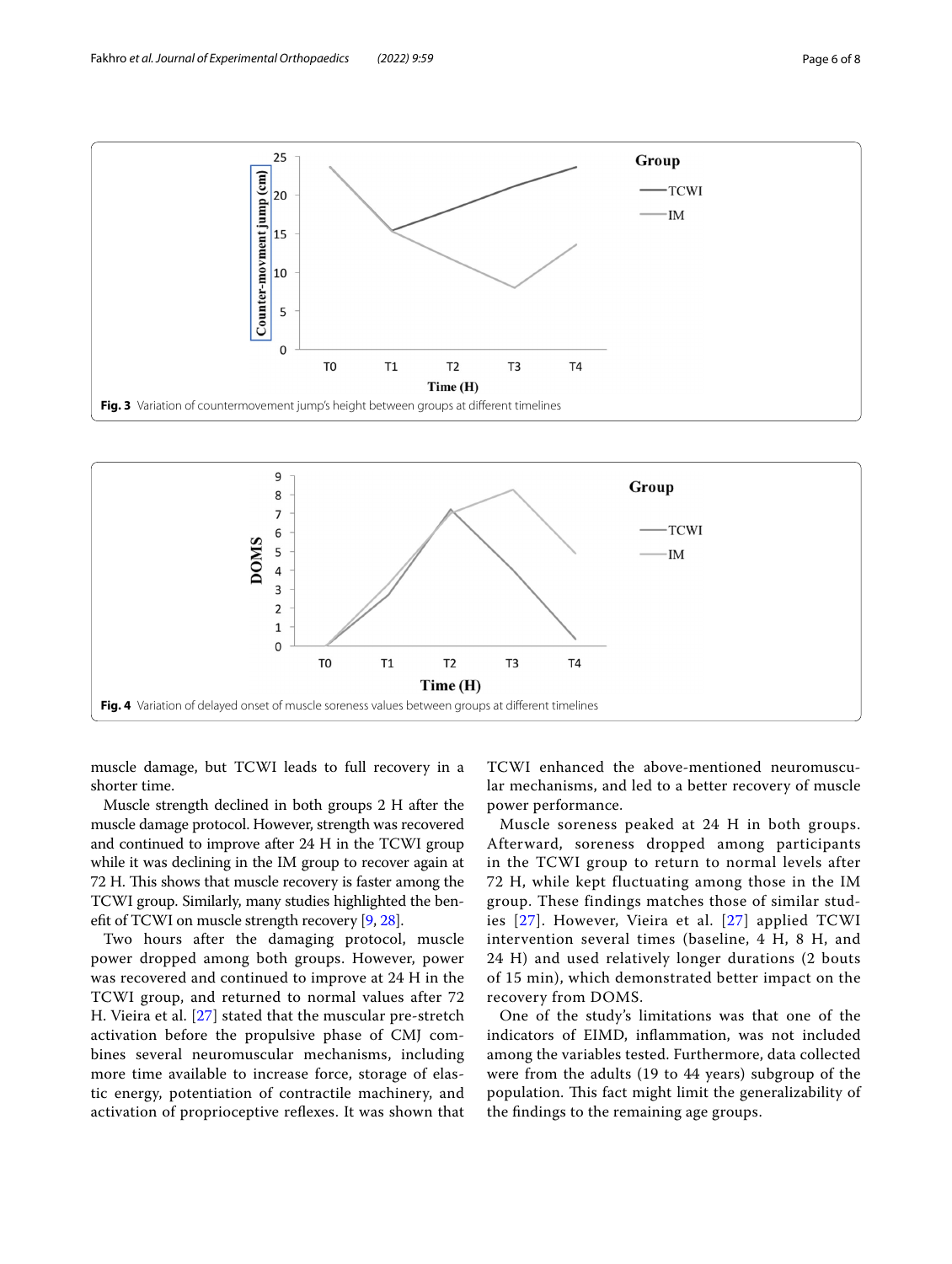

<span id="page-5-0"></span>

<span id="page-5-1"></span>muscle damage, but TCWI leads to full recovery in a shorter time.

Muscle strength declined in both groups 2 H after the muscle damage protocol. However, strength was recovered and continued to improve after 24 H in the TCWI group while it was declining in the IM group to recover again at 72 H. This shows that muscle recovery is faster among the TCWI group. Similarly, many studies highlighted the beneft of TCWI on muscle strength recovery [[9,](#page-6-17) [28\]](#page-7-10).

Two hours after the damaging protocol, muscle power dropped among both groups. However, power was recovered and continued to improve at 24 H in the TCWI group, and returned to normal values after 72 H. Vieira et al. [[27](#page-7-0)] stated that the muscular pre-stretch activation before the propulsive phase of CMJ combines several neuromuscular mechanisms, including more time available to increase force, storage of elastic energy, potentiation of contractile machinery, and activation of proprioceptive refexes. It was shown that TCWI enhanced the above-mentioned neuromuscular mechanisms, and led to a better recovery of muscle power performance.

Muscle soreness peaked at 24 H in both groups. Afterward, soreness dropped among participants in the TCWI group to return to normal levels after 72 H, while kept fluctuating among those in the IM group. These findings matches those of similar studies [[27](#page-7-0)]. However, Vieira et al. [[27](#page-7-0)] applied TCWI intervention several times (baseline, 4 H, 8 H, and 24 H) and used relatively longer durations (2 bouts of 15 min), which demonstrated better impact on the recovery from DOMS.

One of the study's limitations was that one of the indicators of EIMD, infammation, was not included among the variables tested. Furthermore, data collected were from the adults (19 to 44 years) subgroup of the population. This fact might limit the generalizability of the fndings to the remaining age groups.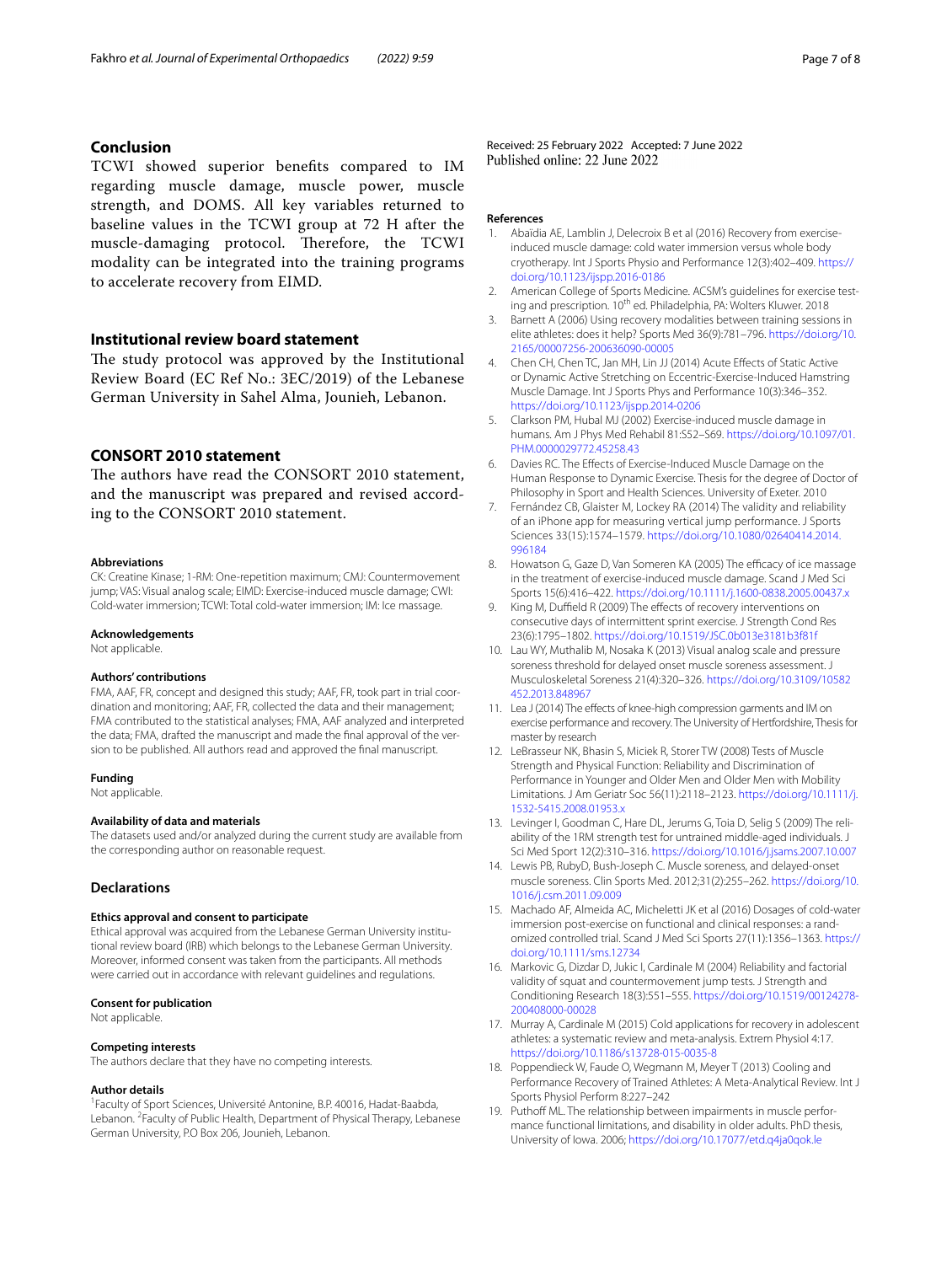## **Conclusion**

TCWI showed superior benefts compared to IM regarding muscle damage, muscle power, muscle strength, and DOMS. All key variables returned to baseline values in the TCWI group at 72 H after the muscle-damaging protocol. Therefore, the TCWI modality can be integrated into the training programs to accelerate recovery from EIMD.

## **Institutional review board statement**

The study protocol was approved by the Institutional Review Board (EC Ref No.: 3EC/2019) of the Lebanese German University in Sahel Alma, Jounieh, Lebanon.

## **CONSORT 2010 statement**

The authors have read the CONSORT 2010 statement, and the manuscript was prepared and revised according to the CONSORT 2010 statement.

#### **Abbreviations**

CK: Creatine Kinase; 1-RM: One-repetition maximum; CMJ: Countermovement jump; VAS: Visual analog scale; EIMD: Exercise-induced muscle damage; CWI: Cold-water immersion; TCWI: Total cold-water immersion; IM: Ice massage.

#### **Acknowledgements**

Not applicable.

### **Authors' contributions**

FMA, AAF, FR, concept and designed this study; AAF, FR, took part in trial coordination and monitoring; AAF, FR, collected the data and their management; FMA contributed to the statistical analyses; FMA, AAF analyzed and interpreted the data; FMA, drafted the manuscript and made the fnal approval of the version to be published. All authors read and approved the fnal manuscript.

#### **Funding**

Not applicable.

### **Availability of data and materials**

The datasets used and/or analyzed during the current study are available from the corresponding author on reasonable request.

## **Declarations**

#### **Ethics approval and consent to participate**

Ethical approval was acquired from the Lebanese German University institutional review board (IRB) which belongs to the Lebanese German University. Moreover, informed consent was taken from the participants. All methods were carried out in accordance with relevant guidelines and regulations.

#### **Consent for publication**

Not applicable.

#### **Competing interests**

The authors declare that they have no competing interests.

#### **Author details**

<sup>1</sup> Faculty of Sport Sciences, Université Antonine, B.P. 40016, Hadat-Baabda, Lebanon. <sup>2</sup> Faculty of Public Health, Department of Physical Therapy, Lebanese German University, P.O Box 206, Jounieh, Lebanon.

Received: 25 February 2022 Accepted: 7 June 2022

#### **References**

- <span id="page-6-5"></span>1. Abaïdia AE, Lamblin J, Delecroix B et al (2016) Recovery from exerciseinduced muscle damage: cold water immersion versus whole body cryotherapy. Int J Sports Physio and Performance 12(3):402–409. [https://](https://doi.org/10.1123/ijspp.2016-0186) [doi.org/10.1123/ijspp.2016-0186](https://doi.org/10.1123/ijspp.2016-0186)
- <span id="page-6-13"></span>2. American College of Sports Medicine. ACSM's guidelines for exercise testing and prescription. 10<sup>th</sup> ed. Philadelphia, PA: Wolters Kluwer. 2018
- <span id="page-6-10"></span>3. Barnett A (2006) Using recovery modalities between training sessions in elite athletes: does it help? Sports Med 36(9):781–796. [https://doi.org/10.](https://doi.org/10.2165/00007256-200636090-00005) [2165/00007256-200636090-00005](https://doi.org/10.2165/00007256-200636090-00005)
- <span id="page-6-4"></span>4. Chen CH, Chen TC, Jan MH, Lin JJ (2014) Acute Efects of Static Active or Dynamic Active Stretching on Eccentric-Exercise-Induced Hamstring Muscle Damage. Int J Sports Phys and Performance 10(3):346–352. <https://doi.org/10.1123/ijspp.2014-0206>
- <span id="page-6-3"></span>5. Clarkson PM, Hubal MJ (2002) Exercise-induced muscle damage in humans. Am J Phys Med Rehabil 81:S52–S69. [https://doi.org/10.1097/01.](https://doi.org/10.1097/01.PHM.0000029772.45258.43) [PHM.0000029772.45258.43](https://doi.org/10.1097/01.PHM.0000029772.45258.43)
- <span id="page-6-1"></span>6. Davies RC. The Efects of Exercise-Induced Muscle Damage on the Human Response to Dynamic Exercise. Thesis for the degree of Doctor of Philosophy in Sport and Health Sciences. University of Exeter. 2010
- <span id="page-6-16"></span>7. Fernández CB, Glaister M, Lockey RA (2014) The validity and reliability of an iPhone app for measuring vertical jump performance. J Sports Sciences 33(15):1574–1579. [https://doi.org/10.1080/02640414.2014.](https://doi.org/10.1080/02640414.2014.996184) [996184](https://doi.org/10.1080/02640414.2014.996184)
- <span id="page-6-6"></span>8. Howatson G, Gaze D, Van Someren KA (2005) The efficacy of ice massage in the treatment of exercise-induced muscle damage. Scand J Med Sci Sports 15(6):416–422.<https://doi.org/10.1111/j.1600-0838.2005.00437.x>
- <span id="page-6-17"></span>King M, Duffield R (2009) The effects of recovery interventions on consecutive days of intermittent sprint exercise. J Strength Cond Res 23(6):1795–1802. <https://doi.org/10.1519/JSC.0b013e3181b3f81f>
- <span id="page-6-18"></span>10. Lau WY, Muthalib M, Nosaka K (2013) Visual analog scale and pressure soreness threshold for delayed onset muscle soreness assessment. J Musculoskeletal Soreness 21(4):320–326. [https://doi.org/10.3109/10582](https://doi.org/10.3109/10582452.2013.848967) [452.2013.848967](https://doi.org/10.3109/10582452.2013.848967)
- <span id="page-6-7"></span>11. Lea J (2014) The effects of knee-high compression garments and IM on exercise performance and recovery. The University of Hertfordshire, Thesis for master by research
- <span id="page-6-11"></span>12. LeBrasseur NK, Bhasin S, Miciek R, Storer TW (2008) Tests of Muscle Strength and Physical Function: Reliability and Discrimination of Performance in Younger and Older Men and Older Men with Mobility Limitations. J Am Geriatr Soc 56(11):2118–2123. [https://doi.org/10.1111/j.](https://doi.org/10.1111/j.1532-5415.2008.01953.x) [1532-5415.2008.01953.x](https://doi.org/10.1111/j.1532-5415.2008.01953.x)
- <span id="page-6-12"></span>13. Levinger I, Goodman C, Hare DL, Jerums G, Toia D, Selig S (2009) The reliability of the 1RM strength test for untrained middle-aged individuals. J Sci Med Sport 12(2):310–316. <https://doi.org/10.1016/j.jsams.2007.10.007>
- <span id="page-6-2"></span>14. Lewis PB, RubyD, Bush-Joseph C. Muscle soreness, and delayed-onset muscle soreness. Clin Sports Med. 2012;31(2):255–262. [https://doi.org/10.](https://doi.org/10.1016/j.csm.2011.09.009) [1016/j.csm.2011.09.009](https://doi.org/10.1016/j.csm.2011.09.009)
- <span id="page-6-8"></span>15. Machado AF, Almeida AC, Micheletti JK et al (2016) Dosages of cold-water immersion post-exercise on functional and clinical responses: a randomized controlled trial. Scand J Med Sci Sports 27(11):1356–1363. [https://](https://doi.org/10.1111/sms.12734) [doi.org/10.1111/sms.12734](https://doi.org/10.1111/sms.12734)
- <span id="page-6-15"></span>16. Markovic G, Dizdar D, Jukic I, Cardinale M (2004) Reliability and factorial validity of squat and countermovement jump tests. J Strength and Conditioning Research 18(3):551–555. [https://doi.org/10.1519/00124278-](https://doi.org/10.1519/00124278-200408000-00028) [200408000-00028](https://doi.org/10.1519/00124278-200408000-00028)
- <span id="page-6-0"></span>17. Murray A, Cardinale M (2015) Cold applications for recovery in adolescent athletes: a systematic review and meta-analysis. Extrem Physiol 4:17. <https://doi.org/10.1186/s13728-015-0035-8>
- <span id="page-6-9"></span>18. Poppendieck W, Faude O, Wegmann M, Meyer T (2013) Cooling and Performance Recovery of Trained Athletes: A Meta-Analytical Review. Int J Sports Physiol Perform 8:227–242
- <span id="page-6-14"></span>19. Puthoff ML. The relationship between impairments in muscle performance functional limitations, and disability in older adults. PhD thesis, University of Iowa. 2006;<https://doi.org/10.17077/etd.q4ja0qok.le>